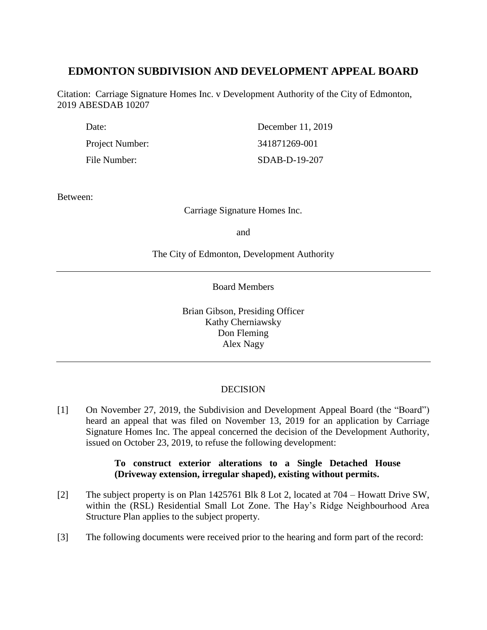# **EDMONTON SUBDIVISION AND DEVELOPMENT APPEAL BOARD**

Citation: Carriage Signature Homes Inc. v Development Authority of the City of Edmonton, 2019 ABESDAB 10207

| Date:           | December 11, 2019 |
|-----------------|-------------------|
| Project Number: | 341871269-001     |
| File Number:    | SDAB-D-19-207     |

Between:

Carriage Signature Homes Inc.

and

The City of Edmonton, Development Authority

Board Members

Brian Gibson, Presiding Officer Kathy Cherniawsky Don Fleming Alex Nagy

# DECISION

[1] On November 27, 2019, the Subdivision and Development Appeal Board (the "Board") heard an appeal that was filed on November 13, 2019 for an application by Carriage Signature Homes Inc. The appeal concerned the decision of the Development Authority, issued on October 23, 2019, to refuse the following development:

# **To construct exterior alterations to a Single Detached House (Driveway extension, irregular shaped), existing without permits.**

- [2] The subject property is on Plan 1425761 Blk 8 Lot 2, located at 704 Howatt Drive SW, within the (RSL) Residential Small Lot Zone. The Hay's Ridge Neighbourhood Area Structure Plan applies to the subject property.
- [3] The following documents were received prior to the hearing and form part of the record: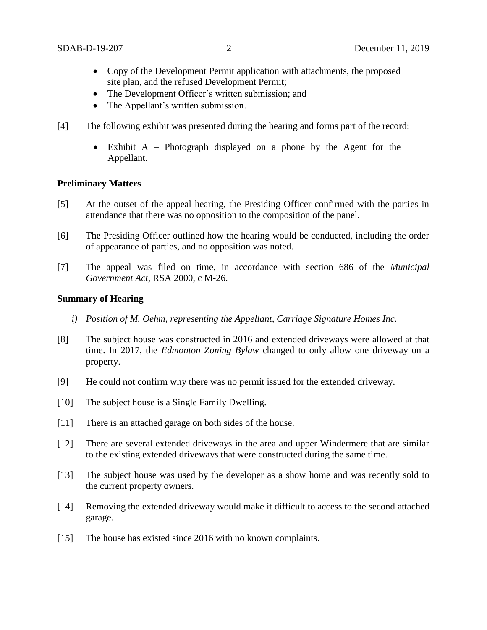- Copy of the Development Permit application with attachments, the proposed site plan, and the refused Development Permit;
- The Development Officer's written submission; and
- The Appellant's written submission.
- [4] The following exhibit was presented during the hearing and forms part of the record:
	- Exhibit A Photograph displayed on a phone by the Agent for the Appellant.

## **Preliminary Matters**

- [5] At the outset of the appeal hearing, the Presiding Officer confirmed with the parties in attendance that there was no opposition to the composition of the panel.
- [6] The Presiding Officer outlined how the hearing would be conducted, including the order of appearance of parties, and no opposition was noted.
- [7] The appeal was filed on time, in accordance with section 686 of the *Municipal Government Act*, RSA 2000, c M-26.

### **Summary of Hearing**

- *i) Position of M. Oehm, representing the Appellant, Carriage Signature Homes Inc.*
- [8] The subject house was constructed in 2016 and extended driveways were allowed at that time. In 2017, the *Edmonton Zoning Bylaw* changed to only allow one driveway on a property.
- [9] He could not confirm why there was no permit issued for the extended driveway.
- [10] The subject house is a Single Family Dwelling.
- [11] There is an attached garage on both sides of the house.
- [12] There are several extended driveways in the area and upper Windermere that are similar to the existing extended driveways that were constructed during the same time.
- [13] The subject house was used by the developer as a show home and was recently sold to the current property owners.
- [14] Removing the extended driveway would make it difficult to access to the second attached garage.
- [15] The house has existed since 2016 with no known complaints.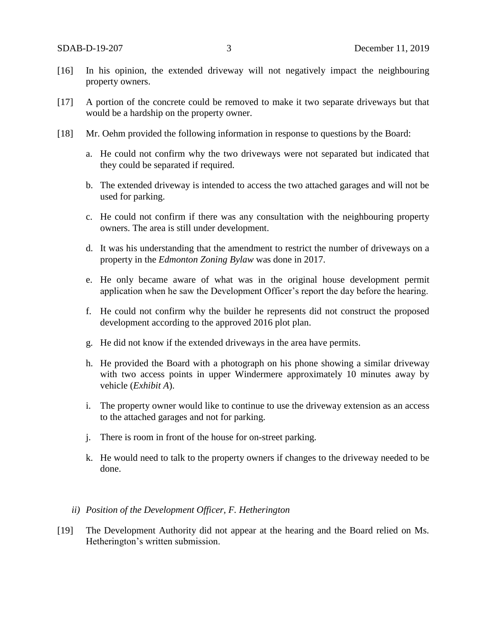- [16] In his opinion, the extended driveway will not negatively impact the neighbouring property owners.
- [17] A portion of the concrete could be removed to make it two separate driveways but that would be a hardship on the property owner.
- [18] Mr. Oehm provided the following information in response to questions by the Board:
	- a. He could not confirm why the two driveways were not separated but indicated that they could be separated if required.
	- b. The extended driveway is intended to access the two attached garages and will not be used for parking.
	- c. He could not confirm if there was any consultation with the neighbouring property owners. The area is still under development.
	- d. It was his understanding that the amendment to restrict the number of driveways on a property in the *Edmonton Zoning Bylaw* was done in 2017.
	- e. He only became aware of what was in the original house development permit application when he saw the Development Officer's report the day before the hearing.
	- f. He could not confirm why the builder he represents did not construct the proposed development according to the approved 2016 plot plan.
	- g. He did not know if the extended driveways in the area have permits.
	- h. He provided the Board with a photograph on his phone showing a similar driveway with two access points in upper Windermere approximately 10 minutes away by vehicle (*Exhibit A*).
	- i. The property owner would like to continue to use the driveway extension as an access to the attached garages and not for parking.
	- j. There is room in front of the house for on-street parking.
	- k. He would need to talk to the property owners if changes to the driveway needed to be done.

### *ii) Position of the Development Officer, F. Hetherington*

[19] The Development Authority did not appear at the hearing and the Board relied on Ms. Hetherington's written submission.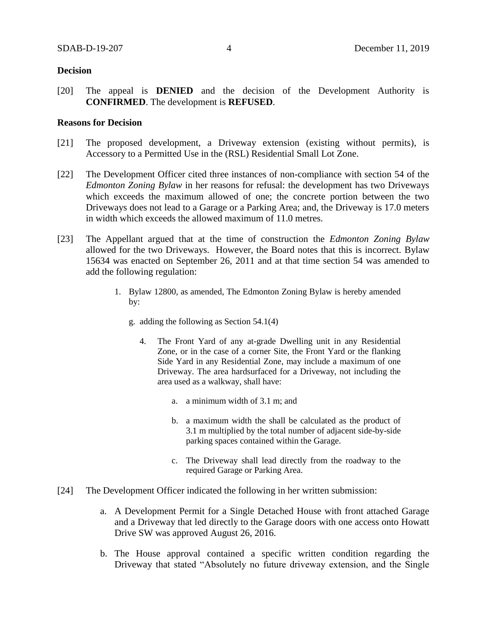# **Decision**

[20] The appeal is **DENIED** and the decision of the Development Authority is **CONFIRMED**. The development is **REFUSED**.

# **Reasons for Decision**

- [21] The proposed development, a Driveway extension (existing without permits), is Accessory to a Permitted Use in the (RSL) Residential Small Lot Zone.
- [22] The Development Officer cited three instances of non-compliance with section 54 of the *Edmonton Zoning Bylaw* in her reasons for refusal: the development has two Driveways which exceeds the maximum allowed of one; the concrete portion between the two Driveways does not lead to a Garage or a Parking Area; and, the Driveway is 17.0 meters in width which exceeds the allowed maximum of 11.0 metres.
- [23] The Appellant argued that at the time of construction the *Edmonton Zoning Bylaw* allowed for the two Driveways. However, the Board notes that this is incorrect. Bylaw 15634 was enacted on September 26, 2011 and at that time section 54 was amended to add the following regulation:
	- 1. Bylaw 12800, as amended, The Edmonton Zoning Bylaw is hereby amended by:
		- g. adding the following as Section 54.1(4)
			- 4. The Front Yard of any at-grade Dwelling unit in any Residential Zone, or in the case of a corner Site, the Front Yard or the flanking Side Yard in any Residential Zone, may include a maximum of one Driveway. The area hardsurfaced for a Driveway, not including the area used as a walkway, shall have:
				- a. a minimum width of 3.1 m; and
				- b. a maximum width the shall be calculated as the product of 3.1 m multiplied by the total number of adjacent side-by-side parking spaces contained within the Garage.
				- c. The Driveway shall lead directly from the roadway to the required Garage or Parking Area.
- [24] The Development Officer indicated the following in her written submission:
	- a. A Development Permit for a Single Detached House with front attached Garage and a Driveway that led directly to the Garage doors with one access onto Howatt Drive SW was approved August 26, 2016.
	- b. The House approval contained a specific written condition regarding the Driveway that stated "Absolutely no future driveway extension, and the Single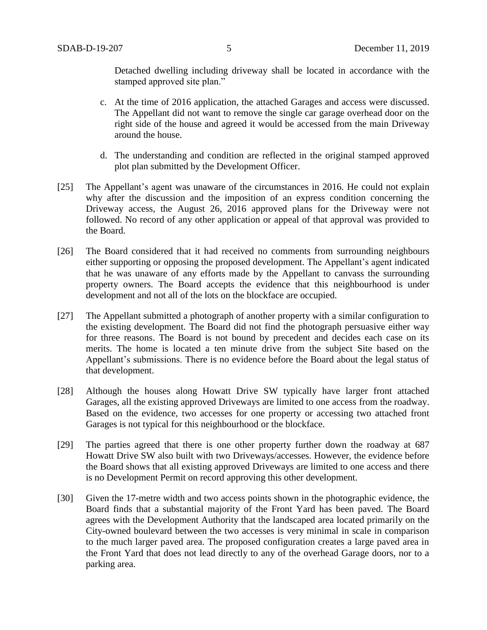Detached dwelling including driveway shall be located in accordance with the stamped approved site plan."

- c. At the time of 2016 application, the attached Garages and access were discussed. The Appellant did not want to remove the single car garage overhead door on the right side of the house and agreed it would be accessed from the main Driveway around the house.
- d. The understanding and condition are reflected in the original stamped approved plot plan submitted by the Development Officer.
- [25] The Appellant's agent was unaware of the circumstances in 2016. He could not explain why after the discussion and the imposition of an express condition concerning the Driveway access, the August 26, 2016 approved plans for the Driveway were not followed. No record of any other application or appeal of that approval was provided to the Board.
- [26] The Board considered that it had received no comments from surrounding neighbours either supporting or opposing the proposed development. The Appellant's agent indicated that he was unaware of any efforts made by the Appellant to canvass the surrounding property owners. The Board accepts the evidence that this neighbourhood is under development and not all of the lots on the blockface are occupied.
- [27] The Appellant submitted a photograph of another property with a similar configuration to the existing development. The Board did not find the photograph persuasive either way for three reasons. The Board is not bound by precedent and decides each case on its merits. The home is located a ten minute drive from the subject Site based on the Appellant's submissions. There is no evidence before the Board about the legal status of that development.
- [28] Although the houses along Howatt Drive SW typically have larger front attached Garages, all the existing approved Driveways are limited to one access from the roadway. Based on the evidence, two accesses for one property or accessing two attached front Garages is not typical for this neighbourhood or the blockface.
- [29] The parties agreed that there is one other property further down the roadway at 687 Howatt Drive SW also built with two Driveways/accesses. However, the evidence before the Board shows that all existing approved Driveways are limited to one access and there is no Development Permit on record approving this other development.
- [30] Given the 17-metre width and two access points shown in the photographic evidence, the Board finds that a substantial majority of the Front Yard has been paved. The Board agrees with the Development Authority that the landscaped area located primarily on the City-owned boulevard between the two accesses is very minimal in scale in comparison to the much larger paved area. The proposed configuration creates a large paved area in the Front Yard that does not lead directly to any of the overhead Garage doors, nor to a parking area.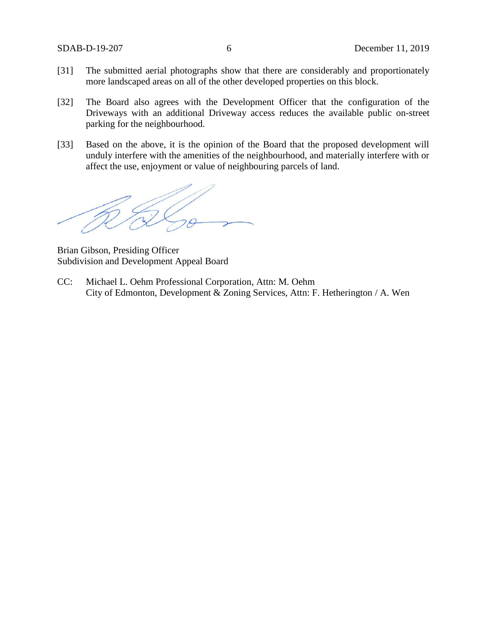- [31] The submitted aerial photographs show that there are considerably and proportionately more landscaped areas on all of the other developed properties on this block.
- [32] The Board also agrees with the Development Officer that the configuration of the Driveways with an additional Driveway access reduces the available public on-street parking for the neighbourhood.
- [33] Based on the above, it is the opinion of the Board that the proposed development will unduly interfere with the amenities of the neighbourhood, and materially interfere with or affect the use, enjoyment or value of neighbouring parcels of land.

Brian Gibson, Presiding Officer Subdivision and Development Appeal Board

CC: Michael L. Oehm Professional Corporation, Attn: M. Oehm City of Edmonton, Development & Zoning Services, Attn: F. Hetherington / A. Wen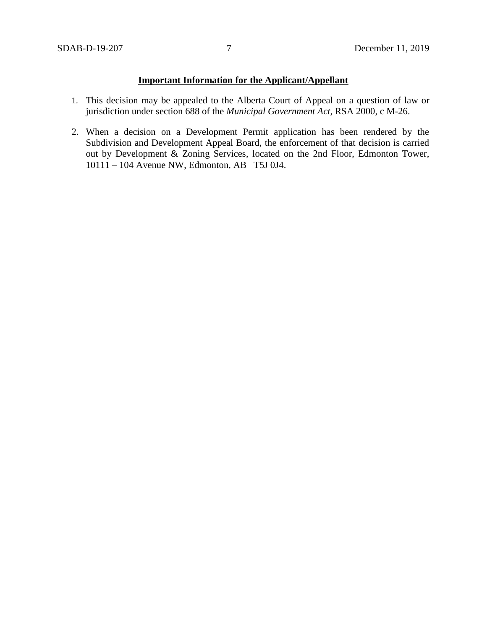# **Important Information for the Applicant/Appellant**

- 1. This decision may be appealed to the Alberta Court of Appeal on a question of law or jurisdiction under section 688 of the *Municipal Government Act*, RSA 2000, c M-26.
- 2. When a decision on a Development Permit application has been rendered by the Subdivision and Development Appeal Board, the enforcement of that decision is carried out by Development & Zoning Services, located on the 2nd Floor, Edmonton Tower, 10111 – 104 Avenue NW, Edmonton, AB T5J 0J4.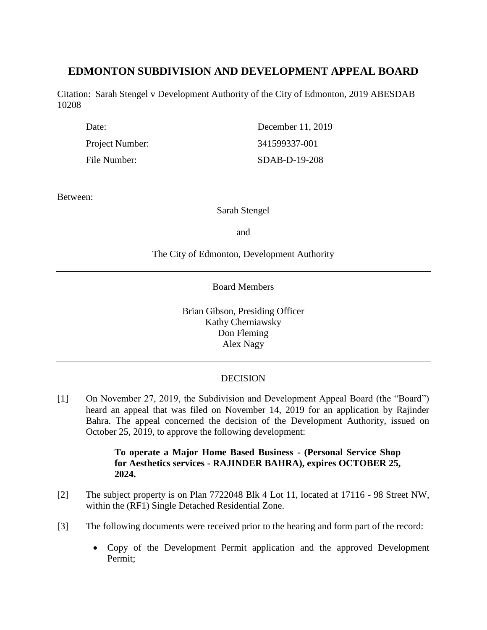# **EDMONTON SUBDIVISION AND DEVELOPMENT APPEAL BOARD**

Citation: Sarah Stengel v Development Authority of the City of Edmonton, 2019 ABESDAB 10208

| Date:           | December 11, 2019 |
|-----------------|-------------------|
| Project Number: | 341599337-001     |
| File Number:    | SDAB-D-19-208     |

Between:

Sarah Stengel

and

# The City of Edmonton, Development Authority

Board Members

Brian Gibson, Presiding Officer Kathy Cherniawsky Don Fleming Alex Nagy

# **DECISION**

[1] On November 27, 2019, the Subdivision and Development Appeal Board (the "Board") heard an appeal that was filed on November 14, 2019 for an application by Rajinder Bahra. The appeal concerned the decision of the Development Authority, issued on October 25, 2019, to approve the following development:

# **To operate a Major Home Based Business - (Personal Service Shop for Aesthetics services - RAJINDER BAHRA), expires OCTOBER 25, 2024.**

- [2] The subject property is on Plan 7722048 Blk 4 Lot 11, located at 17116 98 Street NW, within the (RF1) Single Detached Residential Zone.
- [3] The following documents were received prior to the hearing and form part of the record:
	- Copy of the Development Permit application and the approved Development Permit;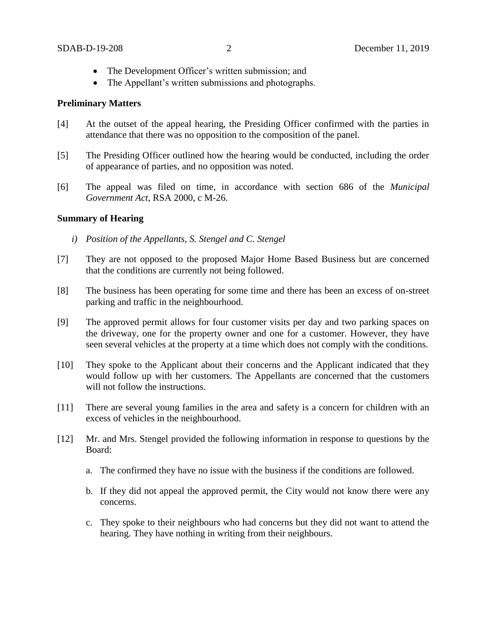- The Development Officer's written submission; and
- The Appellant's written submissions and photographs.

### **Preliminary Matters**

- [4] At the outset of the appeal hearing, the Presiding Officer confirmed with the parties in attendance that there was no opposition to the composition of the panel.
- [5] The Presiding Officer outlined how the hearing would be conducted, including the order of appearance of parties, and no opposition was noted.
- [6] The appeal was filed on time, in accordance with section 686 of the *Municipal Government Act*, RSA 2000, c M-26.

## **Summary of Hearing**

- *i) Position of the Appellants, S. Stengel and C. Stengel*
- [7] They are not opposed to the proposed Major Home Based Business but are concerned that the conditions are currently not being followed.
- [8] The business has been operating for some time and there has been an excess of on-street parking and traffic in the neighbourhood.
- [9] The approved permit allows for four customer visits per day and two parking spaces on the driveway, one for the property owner and one for a customer. However, they have seen several vehicles at the property at a time which does not comply with the conditions.
- [10] They spoke to the Applicant about their concerns and the Applicant indicated that they would follow up with her customers. The Appellants are concerned that the customers will not follow the instructions.
- [11] There are several young families in the area and safety is a concern for children with an excess of vehicles in the neighbourhood.
- [12] Mr. and Mrs. Stengel provided the following information in response to questions by the Board:
	- a. The confirmed they have no issue with the business if the conditions are followed.
	- b. If they did not appeal the approved permit, the City would not know there were any concerns.
	- c. They spoke to their neighbours who had concerns but they did not want to attend the hearing. They have nothing in writing from their neighbours.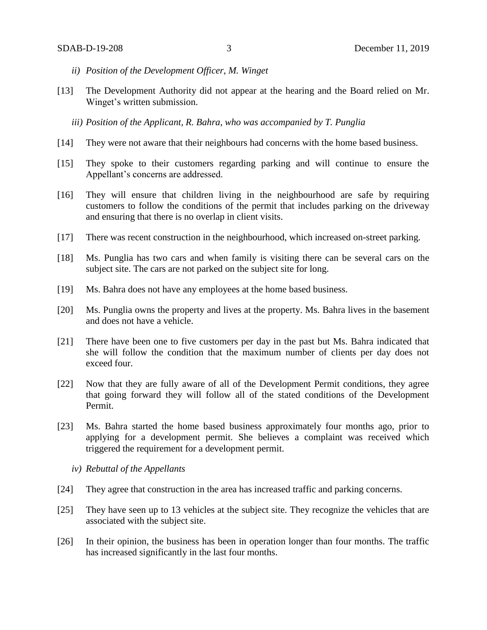- *ii) Position of the Development Officer, M. Winget*
- [13] The Development Authority did not appear at the hearing and the Board relied on Mr. Winget's written submission.
	- *iii) Position of the Applicant, R. Bahra, who was accompanied by T. Punglia*
- [14] They were not aware that their neighbours had concerns with the home based business.
- [15] They spoke to their customers regarding parking and will continue to ensure the Appellant's concerns are addressed.
- [16] They will ensure that children living in the neighbourhood are safe by requiring customers to follow the conditions of the permit that includes parking on the driveway and ensuring that there is no overlap in client visits.
- [17] There was recent construction in the neighbourhood, which increased on-street parking.
- [18] Ms. Punglia has two cars and when family is visiting there can be several cars on the subject site. The cars are not parked on the subject site for long.
- [19] Ms. Bahra does not have any employees at the home based business.
- [20] Ms. Punglia owns the property and lives at the property. Ms. Bahra lives in the basement and does not have a vehicle.
- [21] There have been one to five customers per day in the past but Ms. Bahra indicated that she will follow the condition that the maximum number of clients per day does not exceed four.
- [22] Now that they are fully aware of all of the Development Permit conditions, they agree that going forward they will follow all of the stated conditions of the Development Permit.
- [23] Ms. Bahra started the home based business approximately four months ago, prior to applying for a development permit. She believes a complaint was received which triggered the requirement for a development permit.
	- *iv) Rebuttal of the Appellants*
- [24] They agree that construction in the area has increased traffic and parking concerns.
- [25] They have seen up to 13 vehicles at the subject site. They recognize the vehicles that are associated with the subject site.
- [26] In their opinion, the business has been in operation longer than four months. The traffic has increased significantly in the last four months.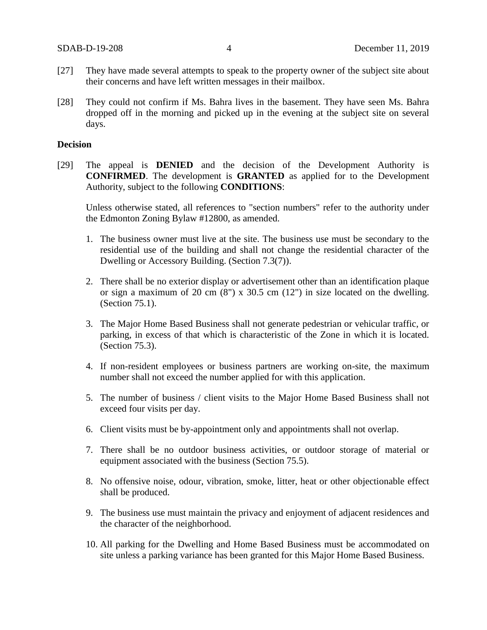- [27] They have made several attempts to speak to the property owner of the subject site about their concerns and have left written messages in their mailbox.
- [28] They could not confirm if Ms. Bahra lives in the basement. They have seen Ms. Bahra dropped off in the morning and picked up in the evening at the subject site on several days.

## **Decision**

[29] The appeal is **DENIED** and the decision of the Development Authority is **CONFIRMED**. The development is **GRANTED** as applied for to the Development Authority, subject to the following **CONDITIONS**:

Unless otherwise stated, all references to "section numbers" refer to the authority under the Edmonton Zoning Bylaw #12800, as amended.

- 1. The business owner must live at the site. The business use must be secondary to the residential use of the building and shall not change the residential character of the Dwelling or Accessory Building. (Section 7.3(7)).
- 2. There shall be no exterior display or advertisement other than an identification plaque or sign a maximum of 20 cm  $(8")$  x 30.5 cm  $(12")$  in size located on the dwelling. (Section 75.1).
- 3. The Major Home Based Business shall not generate pedestrian or vehicular traffic, or parking, in excess of that which is characteristic of the Zone in which it is located. (Section 75.3).
- 4. If non-resident employees or business partners are working on-site, the maximum number shall not exceed the number applied for with this application.
- 5. The number of business / client visits to the Major Home Based Business shall not exceed four visits per day.
- 6. Client visits must be by-appointment only and appointments shall not overlap.
- 7. There shall be no outdoor business activities, or outdoor storage of material or equipment associated with the business (Section 75.5).
- 8. No offensive noise, odour, vibration, smoke, litter, heat or other objectionable effect shall be produced.
- 9. The business use must maintain the privacy and enjoyment of adjacent residences and the character of the neighborhood.
- 10. All parking for the Dwelling and Home Based Business must be accommodated on site unless a parking variance has been granted for this Major Home Based Business.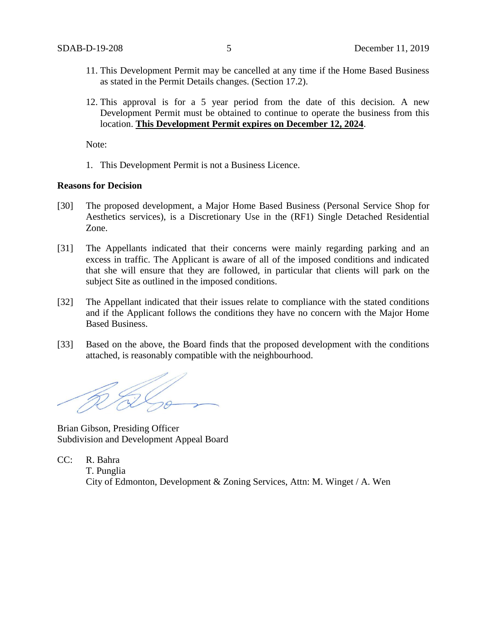- 11. This Development Permit may be cancelled at any time if the Home Based Business as stated in the Permit Details changes. (Section 17.2).
- 12. This approval is for a 5 year period from the date of this decision. A new Development Permit must be obtained to continue to operate the business from this location. **This Development Permit expires on December 12, 2024**.

Note:

1. This Development Permit is not a Business Licence.

#### **Reasons for Decision**

- [30] The proposed development, a Major Home Based Business (Personal Service Shop for Aesthetics services), is a Discretionary Use in the (RF1) Single Detached Residential Zone.
- [31] The Appellants indicated that their concerns were mainly regarding parking and an excess in traffic. The Applicant is aware of all of the imposed conditions and indicated that she will ensure that they are followed, in particular that clients will park on the subject Site as outlined in the imposed conditions.
- [32] The Appellant indicated that their issues relate to compliance with the stated conditions and if the Applicant follows the conditions they have no concern with the Major Home Based Business.
- [33] Based on the above, the Board finds that the proposed development with the conditions attached, is reasonably compatible with the neighbourhood.

Brian Gibson, Presiding Officer Subdivision and Development Appeal Board

CC: R. Bahra T. Punglia City of Edmonton, Development & Zoning Services, Attn: M. Winget / A. Wen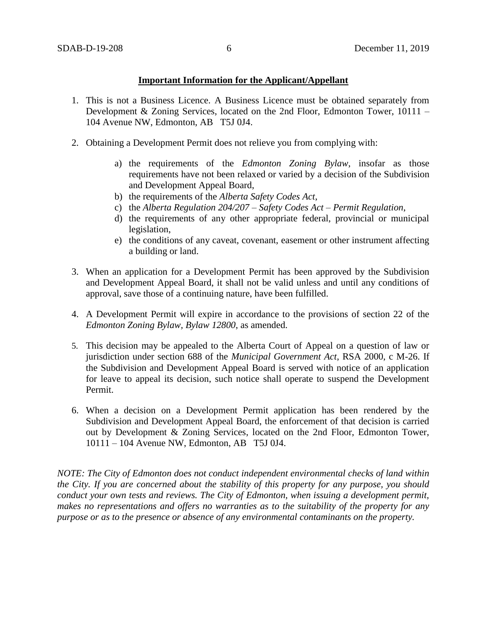## **Important Information for the Applicant/Appellant**

- 1. This is not a Business Licence. A Business Licence must be obtained separately from Development & Zoning Services, located on the 2nd Floor, Edmonton Tower, 10111 – 104 Avenue NW, Edmonton, AB T5J 0J4.
- 2. Obtaining a Development Permit does not relieve you from complying with:
	- a) the requirements of the *Edmonton Zoning Bylaw*, insofar as those requirements have not been relaxed or varied by a decision of the Subdivision and Development Appeal Board,
	- b) the requirements of the *Alberta Safety Codes Act*,
	- c) the *Alberta Regulation 204/207 – Safety Codes Act – Permit Regulation*,
	- d) the requirements of any other appropriate federal, provincial or municipal legislation,
	- e) the conditions of any caveat, covenant, easement or other instrument affecting a building or land.
- 3. When an application for a Development Permit has been approved by the Subdivision and Development Appeal Board, it shall not be valid unless and until any conditions of approval, save those of a continuing nature, have been fulfilled.
- 4. A Development Permit will expire in accordance to the provisions of section 22 of the *Edmonton Zoning Bylaw, Bylaw 12800*, as amended.
- 5. This decision may be appealed to the Alberta Court of Appeal on a question of law or jurisdiction under section 688 of the *Municipal Government Act*, RSA 2000, c M-26. If the Subdivision and Development Appeal Board is served with notice of an application for leave to appeal its decision, such notice shall operate to suspend the Development Permit.
- 6. When a decision on a Development Permit application has been rendered by the Subdivision and Development Appeal Board, the enforcement of that decision is carried out by Development & Zoning Services, located on the 2nd Floor, Edmonton Tower, 10111 – 104 Avenue NW, Edmonton, AB T5J 0J4.

*NOTE: The City of Edmonton does not conduct independent environmental checks of land within the City. If you are concerned about the stability of this property for any purpose, you should conduct your own tests and reviews. The City of Edmonton, when issuing a development permit, makes no representations and offers no warranties as to the suitability of the property for any purpose or as to the presence or absence of any environmental contaminants on the property.*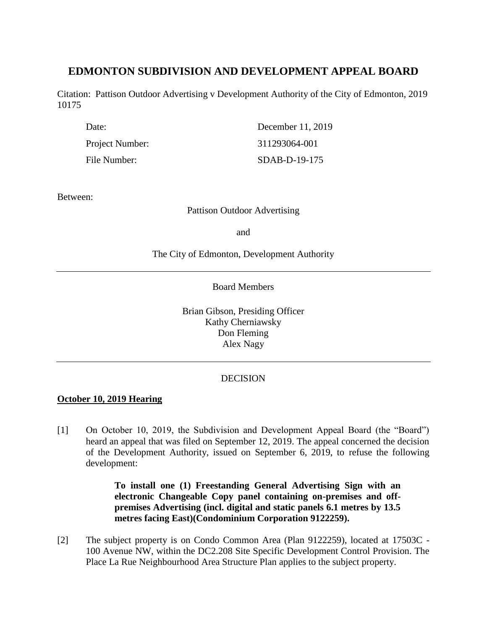# **EDMONTON SUBDIVISION AND DEVELOPMENT APPEAL BOARD**

Citation: Pattison Outdoor Advertising v Development Authority of the City of Edmonton, 2019 10175

| Date:           | December 11, 2019 |
|-----------------|-------------------|
| Project Number: | 311293064-001     |
| File Number:    | SDAB-D-19-175     |

Between:

Pattison Outdoor Advertising

and

The City of Edmonton, Development Authority

Board Members

Brian Gibson, Presiding Officer Kathy Cherniawsky Don Fleming Alex Nagy

# **DECISION**

# **October 10, 2019 Hearing**

[1] On October 10, 2019, the Subdivision and Development Appeal Board (the "Board") heard an appeal that was filed on September 12, 2019. The appeal concerned the decision of the Development Authority, issued on September 6, 2019, to refuse the following development:

> **To install one (1) Freestanding General Advertising Sign with an electronic Changeable Copy panel containing on-premises and offpremises Advertising (incl. digital and static panels 6.1 metres by 13.5 metres facing East)(Condominium Corporation 9122259).**

[2] The subject property is on Condo Common Area (Plan 9122259), located at 17503C - 100 Avenue NW, within the DC2.208 Site Specific Development Control Provision. The Place La Rue Neighbourhood Area Structure Plan applies to the subject property.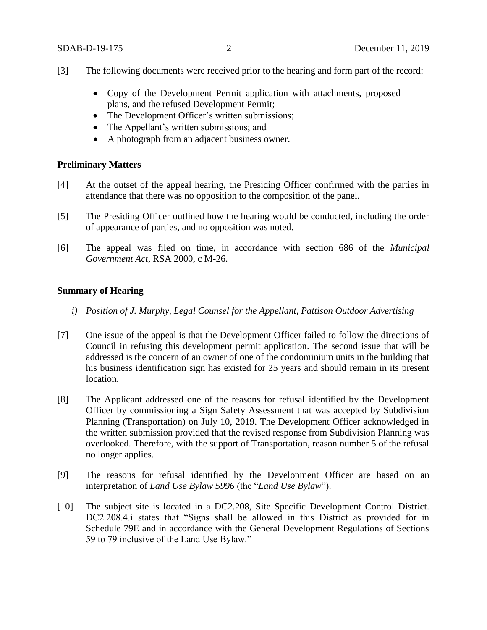- [3] The following documents were received prior to the hearing and form part of the record:
	- Copy of the Development Permit application with attachments, proposed plans, and the refused Development Permit;
	- The Development Officer's written submissions;
	- The Appellant's written submissions; and
	- A photograph from an adjacent business owner.

## **Preliminary Matters**

- [4] At the outset of the appeal hearing, the Presiding Officer confirmed with the parties in attendance that there was no opposition to the composition of the panel.
- [5] The Presiding Officer outlined how the hearing would be conducted, including the order of appearance of parties, and no opposition was noted.
- [6] The appeal was filed on time, in accordance with section 686 of the *Municipal Government Act*, RSA 2000, c M-26.

# **Summary of Hearing**

- *i) Position of J. Murphy, Legal Counsel for the Appellant, Pattison Outdoor Advertising*
- [7] One issue of the appeal is that the Development Officer failed to follow the directions of Council in refusing this development permit application. The second issue that will be addressed is the concern of an owner of one of the condominium units in the building that his business identification sign has existed for 25 years and should remain in its present location.
- [8] The Applicant addressed one of the reasons for refusal identified by the Development Officer by commissioning a Sign Safety Assessment that was accepted by Subdivision Planning (Transportation) on July 10, 2019. The Development Officer acknowledged in the written submission provided that the revised response from Subdivision Planning was overlooked. Therefore, with the support of Transportation, reason number 5 of the refusal no longer applies.
- [9] The reasons for refusal identified by the Development Officer are based on an interpretation of *Land Use Bylaw 5996* (the "*Land Use Bylaw*").
- [10] The subject site is located in a DC2.208, Site Specific Development Control District. DC2.208.4.i states that "Signs shall be allowed in this District as provided for in Schedule 79E and in accordance with the General Development Regulations of Sections 59 to 79 inclusive of the Land Use Bylaw."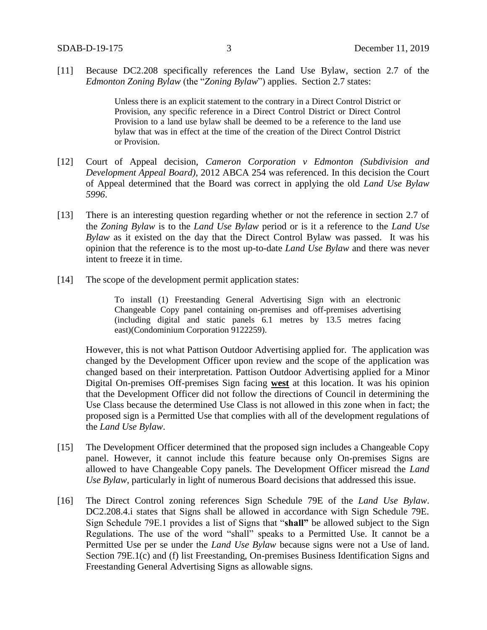[11] Because DC2.208 specifically references the Land Use Bylaw, section 2.7 of the *Edmonton Zoning Bylaw* (the "*Zoning Bylaw*") applies. Section 2.7 states:

> Unless there is an explicit statement to the contrary in a Direct Control District or Provision, any specific reference in a Direct Control District or Direct Control Provision to a land use bylaw shall be deemed to be a reference to the land use bylaw that was in effect at the time of the creation of the Direct Control District or Provision.

- [12] Court of Appeal decision, *Cameron Corporation v Edmonton (Subdivision and Development Appeal Board)*, 2012 ABCA 254 was referenced. In this decision the Court of Appeal determined that the Board was correct in applying the old *Land Use Bylaw 5996*.
- [13] There is an interesting question regarding whether or not the reference in section 2.7 of the *Zoning Bylaw* is to the *Land Use Bylaw* period or is it a reference to the *Land Use Bylaw* as it existed on the day that the Direct Control Bylaw was passed. It was his opinion that the reference is to the most up-to-date *Land Use Bylaw* and there was never intent to freeze it in time.
- [14] The scope of the development permit application states:

To install (1) Freestanding General Advertising Sign with an electronic Changeable Copy panel containing on-premises and off-premises advertising (including digital and static panels 6.1 metres by 13.5 metres facing east)(Condominium Corporation 9122259).

However, this is not what Pattison Outdoor Advertising applied for. The application was changed by the Development Officer upon review and the scope of the application was changed based on their interpretation. Pattison Outdoor Advertising applied for a Minor Digital On-premises Off-premises Sign facing **west** at this location. It was his opinion that the Development Officer did not follow the directions of Council in determining the Use Class because the determined Use Class is not allowed in this zone when in fact; the proposed sign is a Permitted Use that complies with all of the development regulations of the *Land Use Bylaw*.

- [15] The Development Officer determined that the proposed sign includes a Changeable Copy panel. However, it cannot include this feature because only On-premises Signs are allowed to have Changeable Copy panels. The Development Officer misread the *Land Use Bylaw*, particularly in light of numerous Board decisions that addressed this issue.
- [16] The Direct Control zoning references Sign Schedule 79E of the *Land Use Bylaw*. DC2.208.4.i states that Signs shall be allowed in accordance with Sign Schedule 79E. Sign Schedule 79E.1 provides a list of Signs that "**shall"** be allowed subject to the Sign Regulations. The use of the word "shall" speaks to a Permitted Use. It cannot be a Permitted Use per se under the *Land Use Bylaw* because signs were not a Use of land. Section 79E.1(c) and (f) list Freestanding, On-premises Business Identification Signs and Freestanding General Advertising Signs as allowable signs.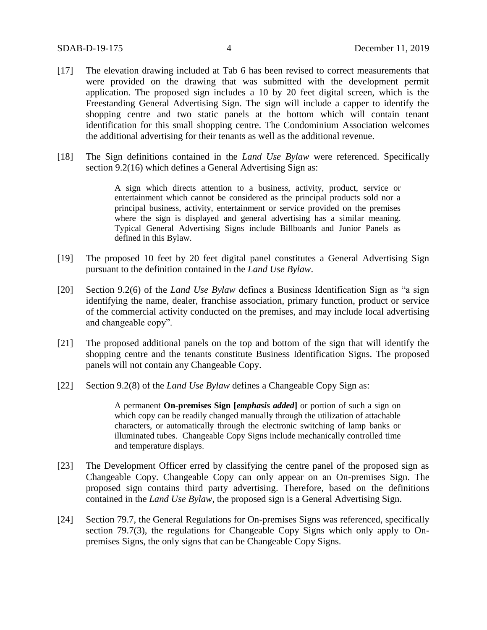- [17] The elevation drawing included at Tab 6 has been revised to correct measurements that were provided on the drawing that was submitted with the development permit application. The proposed sign includes a 10 by 20 feet digital screen, which is the Freestanding General Advertising Sign. The sign will include a capper to identify the shopping centre and two static panels at the bottom which will contain tenant identification for this small shopping centre. The Condominium Association welcomes the additional advertising for their tenants as well as the additional revenue.
- [18] The Sign definitions contained in the *Land Use Bylaw* were referenced. Specifically section 9.2(16) which defines a General Advertising Sign as:

A sign which directs attention to a business, activity, product, service or entertainment which cannot be considered as the principal products sold nor a principal business, activity, entertainment or service provided on the premises where the sign is displayed and general advertising has a similar meaning. Typical General Advertising Signs include Billboards and Junior Panels as defined in this Bylaw.

- [19] The proposed 10 feet by 20 feet digital panel constitutes a General Advertising Sign pursuant to the definition contained in the *Land Use Bylaw*.
- [20] Section 9.2(6) of the *Land Use Bylaw* defines a Business Identification Sign as "a sign identifying the name, dealer, franchise association, primary function, product or service of the commercial activity conducted on the premises, and may include local advertising and changeable copy".
- [21] The proposed additional panels on the top and bottom of the sign that will identify the shopping centre and the tenants constitute Business Identification Signs. The proposed panels will not contain any Changeable Copy.
- [22] Section 9.2(8) of the *Land Use Bylaw* defines a Changeable Copy Sign as:

A permanent **On-premises Sign [***emphasis added***]** or portion of such a sign on which copy can be readily changed manually through the utilization of attachable characters, or automatically through the electronic switching of lamp banks or illuminated tubes. Changeable Copy Signs include mechanically controlled time and temperature displays.

- [23] The Development Officer erred by classifying the centre panel of the proposed sign as Changeable Copy. Changeable Copy can only appear on an On-premises Sign. The proposed sign contains third party advertising. Therefore, based on the definitions contained in the *Land Use Bylaw*, the proposed sign is a General Advertising Sign.
- [24] Section 79.7, the General Regulations for On-premises Signs was referenced, specifically section 79.7(3), the regulations for Changeable Copy Signs which only apply to Onpremises Signs, the only signs that can be Changeable Copy Signs.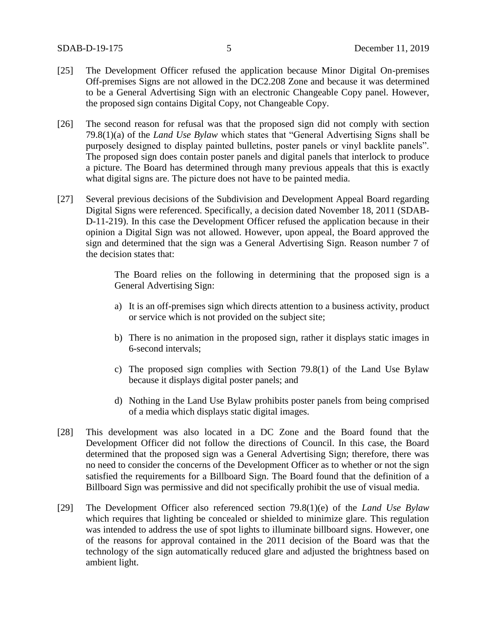- [25] The Development Officer refused the application because Minor Digital On-premises Off-premises Signs are not allowed in the DC2.208 Zone and because it was determined to be a General Advertising Sign with an electronic Changeable Copy panel. However, the proposed sign contains Digital Copy, not Changeable Copy.
- [26] The second reason for refusal was that the proposed sign did not comply with section 79.8(1)(a) of the *Land Use Bylaw* which states that "General Advertising Signs shall be purposely designed to display painted bulletins, poster panels or vinyl backlite panels". The proposed sign does contain poster panels and digital panels that interlock to produce a picture. The Board has determined through many previous appeals that this is exactly what digital signs are. The picture does not have to be painted media.
- [27] Several previous decisions of the Subdivision and Development Appeal Board regarding Digital Signs were referenced. Specifically, a decision dated November 18, 2011 (SDAB-D-11-219). In this case the Development Officer refused the application because in their opinion a Digital Sign was not allowed. However, upon appeal, the Board approved the sign and determined that the sign was a General Advertising Sign. Reason number 7 of the decision states that:

The Board relies on the following in determining that the proposed sign is a General Advertising Sign:

- a) It is an off-premises sign which directs attention to a business activity, product or service which is not provided on the subject site;
- b) There is no animation in the proposed sign, rather it displays static images in 6-second intervals;
- c) The proposed sign complies with Section 79.8(1) of the Land Use Bylaw because it displays digital poster panels; and
- d) Nothing in the Land Use Bylaw prohibits poster panels from being comprised of a media which displays static digital images.
- [28] This development was also located in a DC Zone and the Board found that the Development Officer did not follow the directions of Council. In this case, the Board determined that the proposed sign was a General Advertising Sign; therefore, there was no need to consider the concerns of the Development Officer as to whether or not the sign satisfied the requirements for a Billboard Sign. The Board found that the definition of a Billboard Sign was permissive and did not specifically prohibit the use of visual media.
- [29] The Development Officer also referenced section 79.8(1)(e) of the *Land Use Bylaw* which requires that lighting be concealed or shielded to minimize glare. This regulation was intended to address the use of spot lights to illuminate billboard signs. However, one of the reasons for approval contained in the 2011 decision of the Board was that the technology of the sign automatically reduced glare and adjusted the brightness based on ambient light.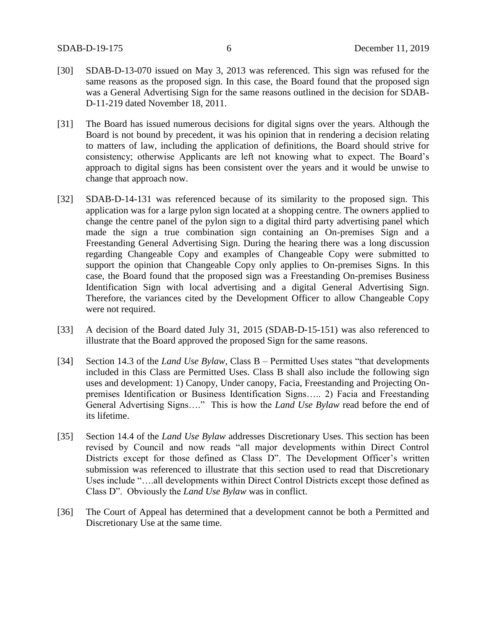- [30] SDAB-D-13-070 issued on May 3, 2013 was referenced. This sign was refused for the same reasons as the proposed sign. In this case, the Board found that the proposed sign was a General Advertising Sign for the same reasons outlined in the decision for SDAB-D-11-219 dated November 18, 2011.
- [31] The Board has issued numerous decisions for digital signs over the years. Although the Board is not bound by precedent, it was his opinion that in rendering a decision relating to matters of law, including the application of definitions, the Board should strive for consistency; otherwise Applicants are left not knowing what to expect. The Board's approach to digital signs has been consistent over the years and it would be unwise to change that approach now.
- [32] SDAB-D-14-131 was referenced because of its similarity to the proposed sign. This application was for a large pylon sign located at a shopping centre. The owners applied to change the centre panel of the pylon sign to a digital third party advertising panel which made the sign a true combination sign containing an On-premises Sign and a Freestanding General Advertising Sign. During the hearing there was a long discussion regarding Changeable Copy and examples of Changeable Copy were submitted to support the opinion that Changeable Copy only applies to On-premises Signs. In this case, the Board found that the proposed sign was a Freestanding On-premises Business Identification Sign with local advertising and a digital General Advertising Sign. Therefore, the variances cited by the Development Officer to allow Changeable Copy were not required.
- [33] A decision of the Board dated July 31, 2015 (SDAB-D-15-151) was also referenced to illustrate that the Board approved the proposed Sign for the same reasons.
- [34] Section 14.3 of the *Land Use Bylaw*, Class B Permitted Uses states "that developments included in this Class are Permitted Uses. Class B shall also include the following sign uses and development: 1) Canopy, Under canopy, Facia, Freestanding and Projecting Onpremises Identification or Business Identification Signs….. 2) Facia and Freestanding General Advertising Signs…." This is how the *Land Use Bylaw* read before the end of its lifetime.
- [35] Section 14.4 of the *Land Use Bylaw* addresses Discretionary Uses. This section has been revised by Council and now reads "all major developments within Direct Control Districts except for those defined as Class D". The Development Officer's written submission was referenced to illustrate that this section used to read that Discretionary Uses include "….all developments within Direct Control Districts except those defined as Class D". Obviously the *Land Use Bylaw* was in conflict.
- [36] The Court of Appeal has determined that a development cannot be both a Permitted and Discretionary Use at the same time.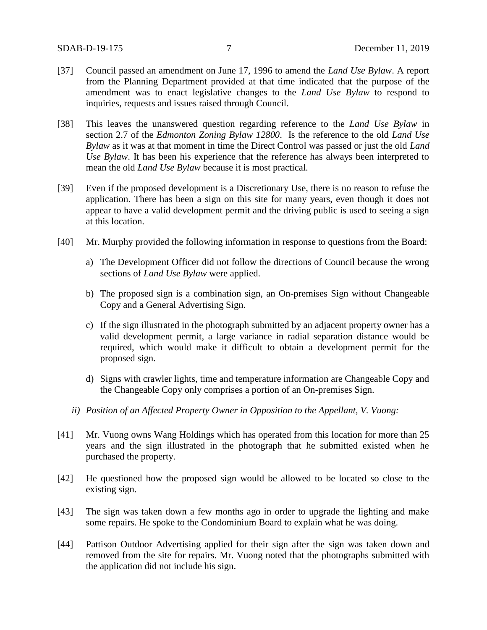- [37] Council passed an amendment on June 17, 1996 to amend the *Land Use Bylaw*. A report from the Planning Department provided at that time indicated that the purpose of the amendment was to enact legislative changes to the *Land Use Bylaw* to respond to inquiries, requests and issues raised through Council.
- [38] This leaves the unanswered question regarding reference to the *Land Use Bylaw* in section 2.7 of the *Edmonton Zoning Bylaw 12800*. Is the reference to the old *Land Use Bylaw* as it was at that moment in time the Direct Control was passed or just the old *Land Use Bylaw*. It has been his experience that the reference has always been interpreted to mean the old *Land Use Bylaw* because it is most practical.
- [39] Even if the proposed development is a Discretionary Use, there is no reason to refuse the application. There has been a sign on this site for many years, even though it does not appear to have a valid development permit and the driving public is used to seeing a sign at this location.
- [40] Mr. Murphy provided the following information in response to questions from the Board:
	- a) The Development Officer did not follow the directions of Council because the wrong sections of *Land Use Bylaw* were applied.
	- b) The proposed sign is a combination sign, an On-premises Sign without Changeable Copy and a General Advertising Sign.
	- c) If the sign illustrated in the photograph submitted by an adjacent property owner has a valid development permit, a large variance in radial separation distance would be required, which would make it difficult to obtain a development permit for the proposed sign.
	- d) Signs with crawler lights, time and temperature information are Changeable Copy and the Changeable Copy only comprises a portion of an On-premises Sign.
	- *ii) Position of an Affected Property Owner in Opposition to the Appellant, V. Vuong:*
- [41] Mr. Vuong owns Wang Holdings which has operated from this location for more than 25 years and the sign illustrated in the photograph that he submitted existed when he purchased the property.
- [42] He questioned how the proposed sign would be allowed to be located so close to the existing sign.
- [43] The sign was taken down a few months ago in order to upgrade the lighting and make some repairs. He spoke to the Condominium Board to explain what he was doing.
- [44] Pattison Outdoor Advertising applied for their sign after the sign was taken down and removed from the site for repairs. Mr. Vuong noted that the photographs submitted with the application did not include his sign.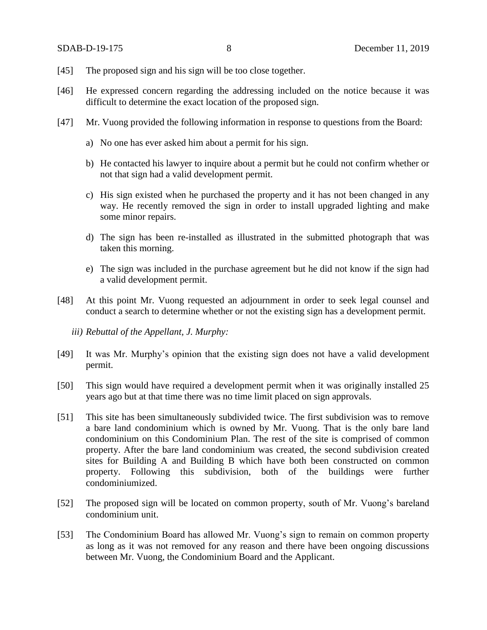- [45] The proposed sign and his sign will be too close together.
- [46] He expressed concern regarding the addressing included on the notice because it was difficult to determine the exact location of the proposed sign.
- [47] Mr. Vuong provided the following information in response to questions from the Board:
	- a) No one has ever asked him about a permit for his sign.
	- b) He contacted his lawyer to inquire about a permit but he could not confirm whether or not that sign had a valid development permit.
	- c) His sign existed when he purchased the property and it has not been changed in any way. He recently removed the sign in order to install upgraded lighting and make some minor repairs.
	- d) The sign has been re-installed as illustrated in the submitted photograph that was taken this morning.
	- e) The sign was included in the purchase agreement but he did not know if the sign had a valid development permit.
- [48] At this point Mr. Vuong requested an adjournment in order to seek legal counsel and conduct a search to determine whether or not the existing sign has a development permit.
	- *iii) Rebuttal of the Appellant, J. Murphy:*
- [49] It was Mr. Murphy's opinion that the existing sign does not have a valid development permit.
- [50] This sign would have required a development permit when it was originally installed 25 years ago but at that time there was no time limit placed on sign approvals.
- [51] This site has been simultaneously subdivided twice. The first subdivision was to remove a bare land condominium which is owned by Mr. Vuong. That is the only bare land condominium on this Condominium Plan. The rest of the site is comprised of common property. After the bare land condominium was created, the second subdivision created sites for Building A and Building B which have both been constructed on common property. Following this subdivision, both of the buildings were further condominiumized.
- [52] The proposed sign will be located on common property, south of Mr. Vuong's bareland condominium unit.
- [53] The Condominium Board has allowed Mr. Vuong's sign to remain on common property as long as it was not removed for any reason and there have been ongoing discussions between Mr. Vuong, the Condominium Board and the Applicant.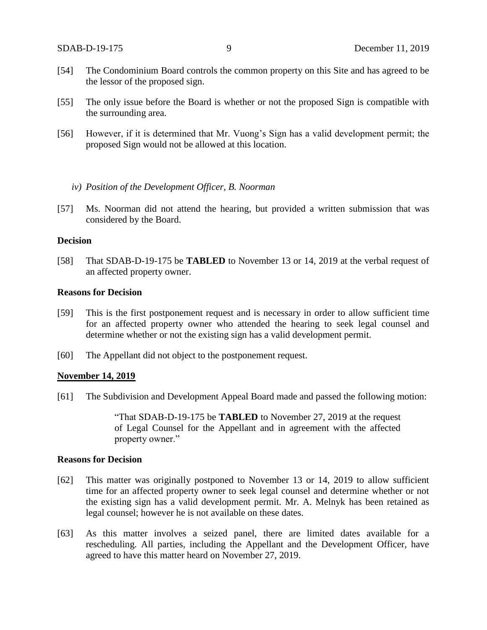- [54] The Condominium Board controls the common property on this Site and has agreed to be the lessor of the proposed sign.
- [55] The only issue before the Board is whether or not the proposed Sign is compatible with the surrounding area.
- [56] However, if it is determined that Mr. Vuong's Sign has a valid development permit; the proposed Sign would not be allowed at this location.
	- *iv) Position of the Development Officer, B. Noorman*
- [57] Ms. Noorman did not attend the hearing, but provided a written submission that was considered by the Board.

#### **Decision**

[58] That SDAB-D-19-175 be **TABLED** to November 13 or 14, 2019 at the verbal request of an affected property owner.

### **Reasons for Decision**

- [59] This is the first postponement request and is necessary in order to allow sufficient time for an affected property owner who attended the hearing to seek legal counsel and determine whether or not the existing sign has a valid development permit.
- [60] The Appellant did not object to the postponement request.

### **November 14, 2019**

[61] The Subdivision and Development Appeal Board made and passed the following motion:

"That SDAB-D-19-175 be **TABLED** to November 27, 2019 at the request of Legal Counsel for the Appellant and in agreement with the affected property owner."

### **Reasons for Decision**

- [62] This matter was originally postponed to November 13 or 14, 2019 to allow sufficient time for an affected property owner to seek legal counsel and determine whether or not the existing sign has a valid development permit. Mr. A. Melnyk has been retained as legal counsel; however he is not available on these dates.
- [63] As this matter involves a seized panel, there are limited dates available for a rescheduling. All parties, including the Appellant and the Development Officer, have agreed to have this matter heard on November 27, 2019.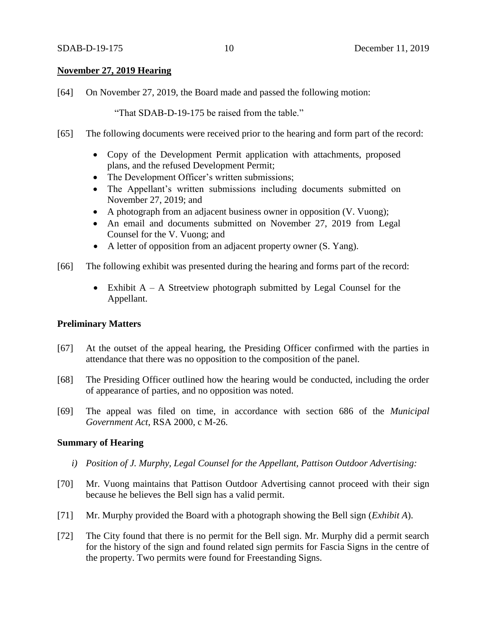## **November 27, 2019 Hearing**

[64] On November 27, 2019, the Board made and passed the following motion:

"That SDAB-D-19-175 be raised from the table."

- [65] The following documents were received prior to the hearing and form part of the record:
	- Copy of the Development Permit application with attachments, proposed plans, and the refused Development Permit;
	- The Development Officer's written submissions;
	- The Appellant's written submissions including documents submitted on November 27, 2019; and
	- A photograph from an adjacent business owner in opposition (V. Vuong);
	- An email and documents submitted on November 27, 2019 from Legal Counsel for the V. Vuong; and
	- A letter of opposition from an adjacent property owner (S. Yang).
- [66] The following exhibit was presented during the hearing and forms part of the record:
	- Exhibit  $A A$  Streetview photograph submitted by Legal Counsel for the Appellant.

# **Preliminary Matters**

- [67] At the outset of the appeal hearing, the Presiding Officer confirmed with the parties in attendance that there was no opposition to the composition of the panel.
- [68] The Presiding Officer outlined how the hearing would be conducted, including the order of appearance of parties, and no opposition was noted.
- [69] The appeal was filed on time, in accordance with section 686 of the *Municipal Government Act*, RSA 2000, c M-26.

### **Summary of Hearing**

- *i) Position of J. Murphy, Legal Counsel for the Appellant, Pattison Outdoor Advertising:*
- [70] Mr. Vuong maintains that Pattison Outdoor Advertising cannot proceed with their sign because he believes the Bell sign has a valid permit.
- [71] Mr. Murphy provided the Board with a photograph showing the Bell sign (*Exhibit A*).
- [72] The City found that there is no permit for the Bell sign. Mr. Murphy did a permit search for the history of the sign and found related sign permits for Fascia Signs in the centre of the property. Two permits were found for Freestanding Signs.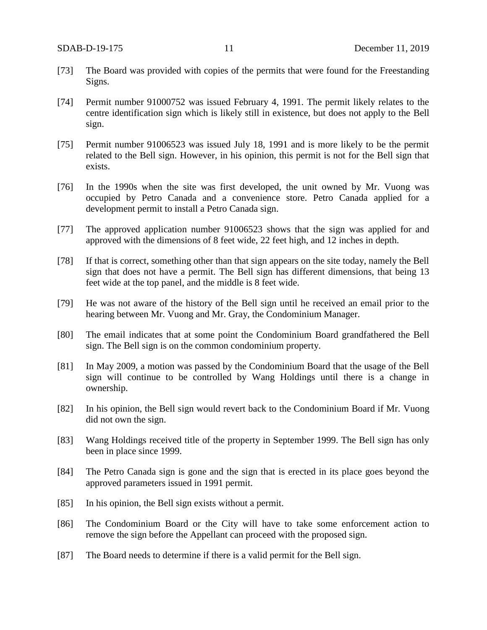- [73] The Board was provided with copies of the permits that were found for the Freestanding Signs.
- [74] Permit number 91000752 was issued February 4, 1991. The permit likely relates to the centre identification sign which is likely still in existence, but does not apply to the Bell sign.
- [75] Permit number 91006523 was issued July 18, 1991 and is more likely to be the permit related to the Bell sign. However, in his opinion, this permit is not for the Bell sign that exists.
- [76] In the 1990s when the site was first developed, the unit owned by Mr. Vuong was occupied by Petro Canada and a convenience store. Petro Canada applied for a development permit to install a Petro Canada sign.
- [77] The approved application number 91006523 shows that the sign was applied for and approved with the dimensions of 8 feet wide, 22 feet high, and 12 inches in depth.
- [78] If that is correct, something other than that sign appears on the site today, namely the Bell sign that does not have a permit. The Bell sign has different dimensions, that being 13 feet wide at the top panel, and the middle is 8 feet wide.
- [79] He was not aware of the history of the Bell sign until he received an email prior to the hearing between Mr. Vuong and Mr. Gray, the Condominium Manager.
- [80] The email indicates that at some point the Condominium Board grandfathered the Bell sign. The Bell sign is on the common condominium property.
- [81] In May 2009, a motion was passed by the Condominium Board that the usage of the Bell sign will continue to be controlled by Wang Holdings until there is a change in ownership.
- [82] In his opinion, the Bell sign would revert back to the Condominium Board if Mr. Vuong did not own the sign.
- [83] Wang Holdings received title of the property in September 1999. The Bell sign has only been in place since 1999.
- [84] The Petro Canada sign is gone and the sign that is erected in its place goes beyond the approved parameters issued in 1991 permit.
- [85] In his opinion, the Bell sign exists without a permit.
- [86] The Condominium Board or the City will have to take some enforcement action to remove the sign before the Appellant can proceed with the proposed sign.
- [87] The Board needs to determine if there is a valid permit for the Bell sign.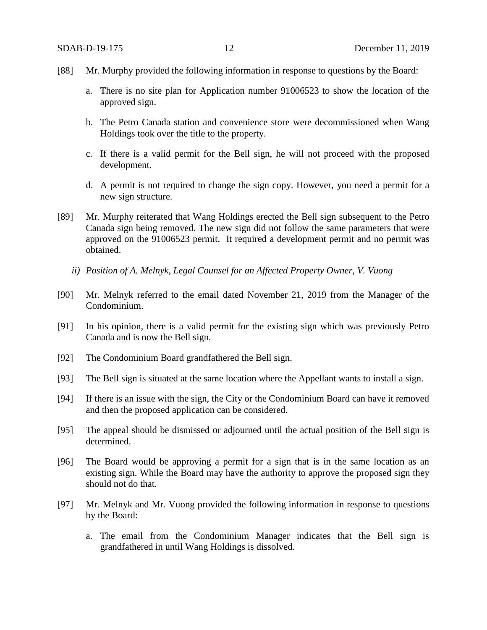- [88] Mr. Murphy provided the following information in response to questions by the Board:
	- a. There is no site plan for Application number 91006523 to show the location of the approved sign.
	- b. The Petro Canada station and convenience store were decommissioned when Wang Holdings took over the title to the property.
	- c. If there is a valid permit for the Bell sign, he will not proceed with the proposed development.
	- d. A permit is not required to change the sign copy. However, you need a permit for a new sign structure.
- [89] Mr. Murphy reiterated that Wang Holdings erected the Bell sign subsequent to the Petro Canada sign being removed. The new sign did not follow the same parameters that were approved on the 91006523 permit. It required a development permit and no permit was obtained.
	- *ii) Position of A. Melnyk, Legal Counsel for an Affected Property Owner, V. Vuong*
- [90] Mr. Melnyk referred to the email dated November 21, 2019 from the Manager of the Condominium.
- [91] In his opinion, there is a valid permit for the existing sign which was previously Petro Canada and is now the Bell sign.
- [92] The Condominium Board grandfathered the Bell sign.
- [93] The Bell sign is situated at the same location where the Appellant wants to install a sign.
- [94] If there is an issue with the sign, the City or the Condominium Board can have it removed and then the proposed application can be considered.
- [95] The appeal should be dismissed or adjourned until the actual position of the Bell sign is determined.
- [96] The Board would be approving a permit for a sign that is in the same location as an existing sign. While the Board may have the authority to approve the proposed sign they should not do that.
- [97] Mr. Melnyk and Mr. Vuong provided the following information in response to questions by the Board:
	- a. The email from the Condominium Manager indicates that the Bell sign is grandfathered in until Wang Holdings is dissolved.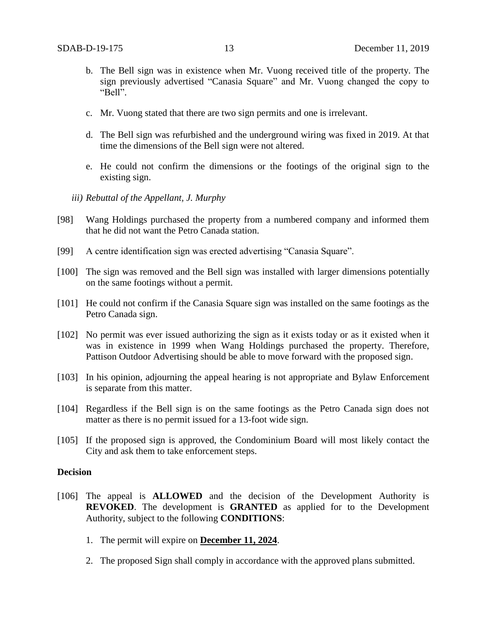- b. The Bell sign was in existence when Mr. Vuong received title of the property. The sign previously advertised "Canasia Square" and Mr. Vuong changed the copy to "Bell".
- c. Mr. Vuong stated that there are two sign permits and one is irrelevant.
- d. The Bell sign was refurbished and the underground wiring was fixed in 2019. At that time the dimensions of the Bell sign were not altered.
- e. He could not confirm the dimensions or the footings of the original sign to the existing sign.
- *iii) Rebuttal of the Appellant, J. Murphy*
- [98] Wang Holdings purchased the property from a numbered company and informed them that he did not want the Petro Canada station.
- [99] A centre identification sign was erected advertising "Canasia Square".
- [100] The sign was removed and the Bell sign was installed with larger dimensions potentially on the same footings without a permit.
- [101] He could not confirm if the Canasia Square sign was installed on the same footings as the Petro Canada sign.
- [102] No permit was ever issued authorizing the sign as it exists today or as it existed when it was in existence in 1999 when Wang Holdings purchased the property. Therefore, Pattison Outdoor Advertising should be able to move forward with the proposed sign.
- [103] In his opinion, adjourning the appeal hearing is not appropriate and Bylaw Enforcement is separate from this matter.
- [104] Regardless if the Bell sign is on the same footings as the Petro Canada sign does not matter as there is no permit issued for a 13-foot wide sign.
- [105] If the proposed sign is approved, the Condominium Board will most likely contact the City and ask them to take enforcement steps.

### **Decision**

- [106] The appeal is **ALLOWED** and the decision of the Development Authority is **REVOKED**. The development is **GRANTED** as applied for to the Development Authority, subject to the following **CONDITIONS**:
	- 1. The permit will expire on **December 11, 2024**.
	- 2. The proposed Sign shall comply in accordance with the approved plans submitted.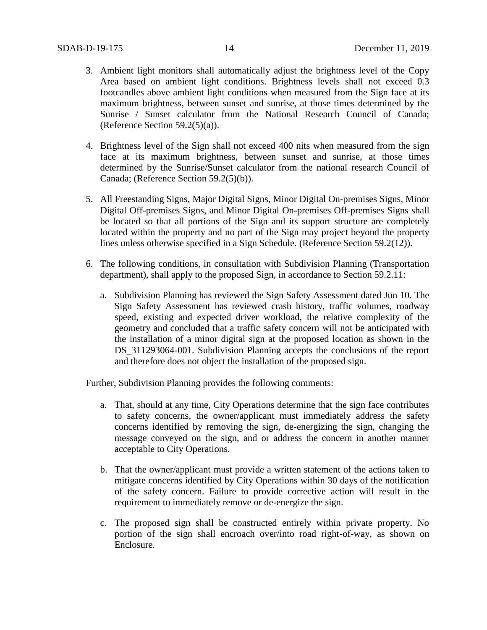- 3. Ambient light monitors shall automatically adjust the brightness level of the Copy Area based on ambient light conditions. Brightness levels shall not exceed 0.3 footcandles above ambient light conditions when measured from the Sign face at its maximum brightness, between sunset and sunrise, at those times determined by the Sunrise / Sunset calculator from the National Research Council of Canada; (Reference Section  $59.2(5)(a)$ ).
- 4. Brightness level of the Sign shall not exceed 400 nits when measured from the sign face at its maximum brightness, between sunset and sunrise, at those times determined by the Sunrise/Sunset calculator from the national research Council of Canada; (Reference Section 59.2(5)(b)).
- 5. All Freestanding Signs, Major Digital Signs, Minor Digital On-premises Signs, Minor Digital Off-premises Signs, and Minor Digital On-premises Off-premises Signs shall be located so that all portions of the Sign and its support structure are completely located within the property and no part of the Sign may project beyond the property lines unless otherwise specified in a Sign Schedule. (Reference Section 59.2(12)).
- 6. The following conditions, in consultation with Subdivision Planning (Transportation department), shall apply to the proposed Sign, in accordance to Section 59.2.11:
	- a. Subdivision Planning has reviewed the Sign Safety Assessment dated Jun 10. The Sign Safety Assessment has reviewed crash history, traffic volumes, roadway speed, existing and expected driver workload, the relative complexity of the geometry and concluded that a traffic safety concern will not be anticipated with the installation of a minor digital sign at the proposed location as shown in the DS\_311293064-001. Subdivision Planning accepts the conclusions of the report and therefore does not object the installation of the proposed sign.

Further, Subdivision Planning provides the following comments:

- a. That, should at any time, City Operations determine that the sign face contributes to safety concerns, the owner/applicant must immediately address the safety concerns identified by removing the sign, de-energizing the sign, changing the message conveyed on the sign, and or address the concern in another manner acceptable to City Operations.
- b. That the owner/applicant must provide a written statement of the actions taken to mitigate concerns identified by City Operations within 30 days of the notification of the safety concern. Failure to provide corrective action will result in the requirement to immediately remove or de-energize the sign.
- c. The proposed sign shall be constructed entirely within private property. No portion of the sign shall encroach over/into road right-of-way, as shown on Enclosure.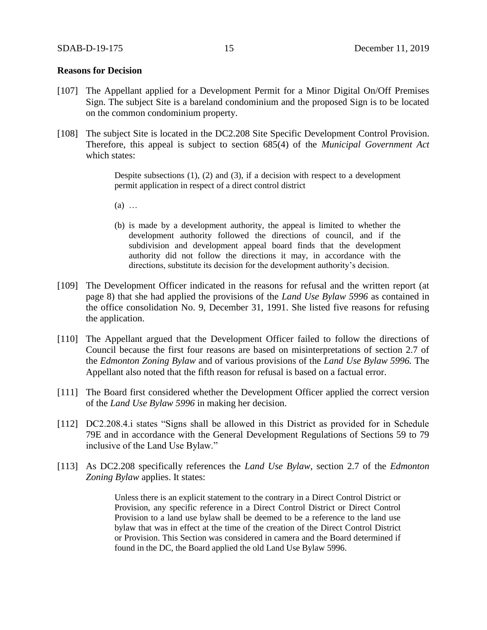### **Reasons for Decision**

- [107] The Appellant applied for a Development Permit for a Minor Digital On/Off Premises Sign. The subject Site is a bareland condominium and the proposed Sign is to be located on the common condominium property.
- [108] The subject Site is located in the DC2.208 Site Specific Development Control Provision. Therefore, this appeal is subject to section 685(4) of the *Municipal Government Act* which states:

Despite subsections (1), (2) and (3), if a decision with respect to a development permit application in respect of a direct control district

- (a) …
- (b) is made by a development authority, the appeal is limited to whether the development authority followed the directions of council, and if the subdivision and development appeal board finds that the development authority did not follow the directions it may, in accordance with the directions, substitute its decision for the development authority's decision.
- [109] The Development Officer indicated in the reasons for refusal and the written report (at page 8) that she had applied the provisions of the *Land Use Bylaw 5996* as contained in the office consolidation No. 9, December 31, 1991. She listed five reasons for refusing the application.
- [110] The Appellant argued that the Development Officer failed to follow the directions of Council because the first four reasons are based on misinterpretations of section 2.7 of the *Edmonton Zoning Bylaw* and of various provisions of the *Land Use Bylaw 5996.* The Appellant also noted that the fifth reason for refusal is based on a factual error.
- [111] The Board first considered whether the Development Officer applied the correct version of the *Land Use Bylaw 5996* in making her decision.
- [112] DC2.208.4.i states "Signs shall be allowed in this District as provided for in Schedule 79E and in accordance with the General Development Regulations of Sections 59 to 79 inclusive of the Land Use Bylaw."
- [113] As DC2.208 specifically references the *Land Use Bylaw*, section 2.7 of the *Edmonton Zoning Bylaw* applies. It states:

Unless there is an explicit statement to the contrary in a Direct Control District or Provision, any specific reference in a Direct Control District or Direct Control Provision to a land use bylaw shall be deemed to be a reference to the land use bylaw that was in effect at the time of the creation of the Direct Control District or Provision. This Section was considered in camera and the Board determined if found in the DC, the Board applied the old Land Use Bylaw 5996.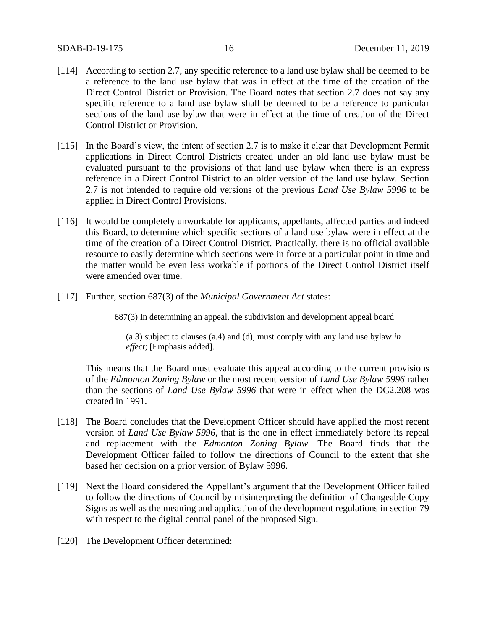- [114] According to section 2.7, any specific reference to a land use bylaw shall be deemed to be a reference to the land use bylaw that was in effect at the time of the creation of the Direct Control District or Provision. The Board notes that section 2.7 does not say any specific reference to a land use bylaw shall be deemed to be a reference to particular sections of the land use bylaw that were in effect at the time of creation of the Direct Control District or Provision.
- [115] In the Board's view, the intent of section 2.7 is to make it clear that Development Permit applications in Direct Control Districts created under an old land use bylaw must be evaluated pursuant to the provisions of that land use bylaw when there is an express reference in a Direct Control District to an older version of the land use bylaw. Section 2.7 is not intended to require old versions of the previous *Land Use Bylaw 5996* to be applied in Direct Control Provisions.
- [116] It would be completely unworkable for applicants, appellants, affected parties and indeed this Board, to determine which specific sections of a land use bylaw were in effect at the time of the creation of a Direct Control District. Practically, there is no official available resource to easily determine which sections were in force at a particular point in time and the matter would be even less workable if portions of the Direct Control District itself were amended over time.
- [117] Further, section 687(3) of the *Municipal Government Act* states:

687(3) In determining an appeal, the subdivision and development appeal board

(a.3) subject to clauses (a.4) and (d), must comply with any land use bylaw *in effect*; [Emphasis added].

This means that the Board must evaluate this appeal according to the current provisions of the *Edmonton Zoning Bylaw* or the most recent version of *Land Use Bylaw 5996* rather than the sections of *Land Use Bylaw 5996* that were in effect when the DC2.208 was created in 1991.

- [118] The Board concludes that the Development Officer should have applied the most recent version of *Land Use Bylaw 5996*, that is the one in effect immediately before its repeal and replacement with the *Edmonton Zoning Bylaw.* The Board finds that the Development Officer failed to follow the directions of Council to the extent that she based her decision on a prior version of Bylaw 5996.
- [119] Next the Board considered the Appellant's argument that the Development Officer failed to follow the directions of Council by misinterpreting the definition of Changeable Copy Signs as well as the meaning and application of the development regulations in section 79 with respect to the digital central panel of the proposed Sign.
- [120] The Development Officer determined: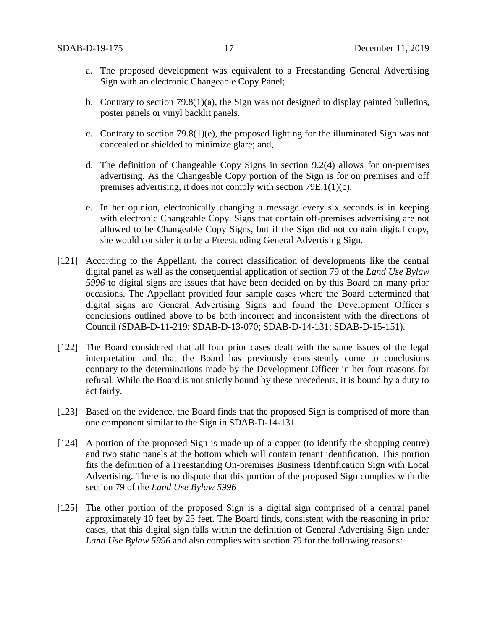- a. The proposed development was equivalent to a Freestanding General Advertising Sign with an electronic Changeable Copy Panel;
- b. Contrary to section 79.8(1)(a), the Sign was not designed to display painted bulletins, poster panels or vinyl backlit panels.
- c. Contrary to section 79.8(1)(e), the proposed lighting for the illuminated Sign was not concealed or shielded to minimize glare; and,
- d. The definition of Changeable Copy Signs in section 9.2(4) allows for on-premises advertising. As the Changeable Copy portion of the Sign is for on premises and off premises advertising, it does not comply with section 79E.1(1)(c).
- e. In her opinion, electronically changing a message every six seconds is in keeping with electronic Changeable Copy. Signs that contain off-premises advertising are not allowed to be Changeable Copy Signs, but if the Sign did not contain digital copy, she would consider it to be a Freestanding General Advertising Sign.
- [121] According to the Appellant, the correct classification of developments like the central digital panel as well as the consequential application of section 79 of the *Land Use Bylaw 5996* to digital signs are issues that have been decided on by this Board on many prior occasions. The Appellant provided four sample cases where the Board determined that digital signs are General Advertising Signs and found the Development Officer's conclusions outlined above to be both incorrect and inconsistent with the directions of Council (SDAB-D-11-219; SDAB-D-13-070; SDAB-D-14-131; SDAB-D-15-151).
- [122] The Board considered that all four prior cases dealt with the same issues of the legal interpretation and that the Board has previously consistently come to conclusions contrary to the determinations made by the Development Officer in her four reasons for refusal. While the Board is not strictly bound by these precedents, it is bound by a duty to act fairly.
- [123] Based on the evidence, the Board finds that the proposed Sign is comprised of more than one component similar to the Sign in SDAB-D-14-131.
- [124] A portion of the proposed Sign is made up of a capper (to identify the shopping centre) and two static panels at the bottom which will contain tenant identification. This portion fits the definition of a Freestanding On-premises Business Identification Sign with Local Advertising. There is no dispute that this portion of the proposed Sign complies with the section 79 of the *Land Use Bylaw 5996*
- [125] The other portion of the proposed Sign is a digital sign comprised of a central panel approximately 10 feet by 25 feet. The Board finds, consistent with the reasoning in prior cases, that this digital sign falls within the definition of General Advertising Sign under *Land Use Bylaw 5996* and also complies with section 79 for the following reasons: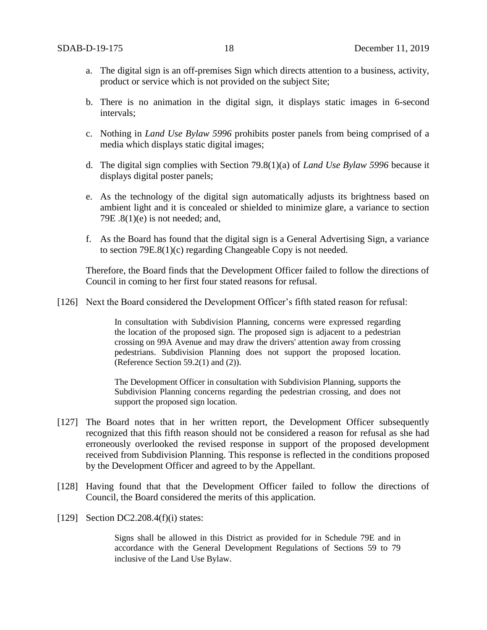- a. The digital sign is an off-premises Sign which directs attention to a business, activity, product or service which is not provided on the subject Site;
- b. There is no animation in the digital sign, it displays static images in 6-second intervals;
- c. Nothing in *Land Use Bylaw 5996* prohibits poster panels from being comprised of a media which displays static digital images;
- d. The digital sign complies with Section 79.8(1)(a) of *Land Use Bylaw 5996* because it displays digital poster panels;
- e. As the technology of the digital sign automatically adjusts its brightness based on ambient light and it is concealed or shielded to minimize glare, a variance to section 79E  $.8(1)(e)$  is not needed; and,
- f. As the Board has found that the digital sign is a General Advertising Sign, a variance to section 79E.8(1)(c) regarding Changeable Copy is not needed.

Therefore, the Board finds that the Development Officer failed to follow the directions of Council in coming to her first four stated reasons for refusal.

[126] Next the Board considered the Development Officer's fifth stated reason for refusal:

In consultation with Subdivision Planning, concerns were expressed regarding the location of the proposed sign. The proposed sign is adjacent to a pedestrian crossing on 99A Avenue and may draw the drivers' attention away from crossing pedestrians. Subdivision Planning does not support the proposed location. (Reference Section 59.2(1) and (2)).

The Development Officer in consultation with Subdivision Planning, supports the Subdivision Planning concerns regarding the pedestrian crossing, and does not support the proposed sign location.

- [127] The Board notes that in her written report, the Development Officer subsequently recognized that this fifth reason should not be considered a reason for refusal as she had erroneously overlooked the revised response in support of the proposed development received from Subdivision Planning. This response is reflected in the conditions proposed by the Development Officer and agreed to by the Appellant.
- [128] Having found that that the Development Officer failed to follow the directions of Council, the Board considered the merits of this application.
- [129] Section DC2.208.4(f)(i) states:

Signs shall be allowed in this District as provided for in Schedule 79E and in accordance with the General Development Regulations of Sections 59 to 79 inclusive of the Land Use Bylaw.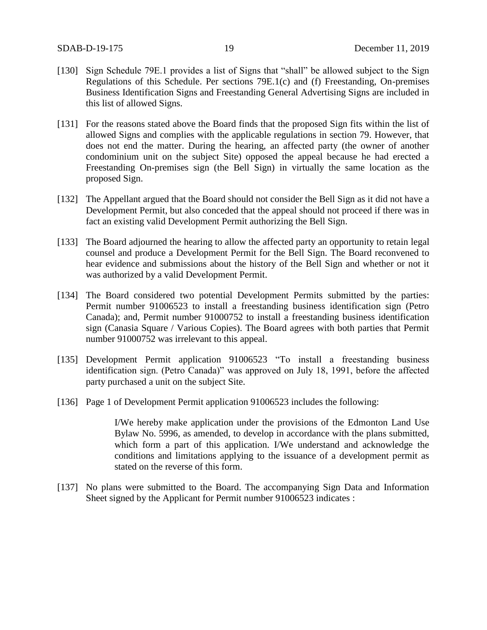- [130] Sign Schedule 79E.1 provides a list of Signs that "shall" be allowed subject to the Sign Regulations of this Schedule. Per sections 79E.1(c) and (f) Freestanding, On-premises Business Identification Signs and Freestanding General Advertising Signs are included in this list of allowed Signs.
- [131] For the reasons stated above the Board finds that the proposed Sign fits within the list of allowed Signs and complies with the applicable regulations in section 79. However, that does not end the matter. During the hearing, an affected party (the owner of another condominium unit on the subject Site) opposed the appeal because he had erected a Freestanding On-premises sign (the Bell Sign) in virtually the same location as the proposed Sign.
- [132] The Appellant argued that the Board should not consider the Bell Sign as it did not have a Development Permit, but also conceded that the appeal should not proceed if there was in fact an existing valid Development Permit authorizing the Bell Sign.
- [133] The Board adjourned the hearing to allow the affected party an opportunity to retain legal counsel and produce a Development Permit for the Bell Sign. The Board reconvened to hear evidence and submissions about the history of the Bell Sign and whether or not it was authorized by a valid Development Permit.
- [134] The Board considered two potential Development Permits submitted by the parties: Permit number 91006523 to install a freestanding business identification sign (Petro Canada); and, Permit number 91000752 to install a freestanding business identification sign (Canasia Square / Various Copies). The Board agrees with both parties that Permit number 91000752 was irrelevant to this appeal.
- [135] Development Permit application 91006523 "To install a freestanding business identification sign. (Petro Canada)" was approved on July 18, 1991, before the affected party purchased a unit on the subject Site.
- [136] Page 1 of Development Permit application 91006523 includes the following:

I/We hereby make application under the provisions of the Edmonton Land Use Bylaw No. 5996, as amended, to develop in accordance with the plans submitted, which form a part of this application. I/We understand and acknowledge the conditions and limitations applying to the issuance of a development permit as stated on the reverse of this form.

[137] No plans were submitted to the Board. The accompanying Sign Data and Information Sheet signed by the Applicant for Permit number 91006523 indicates :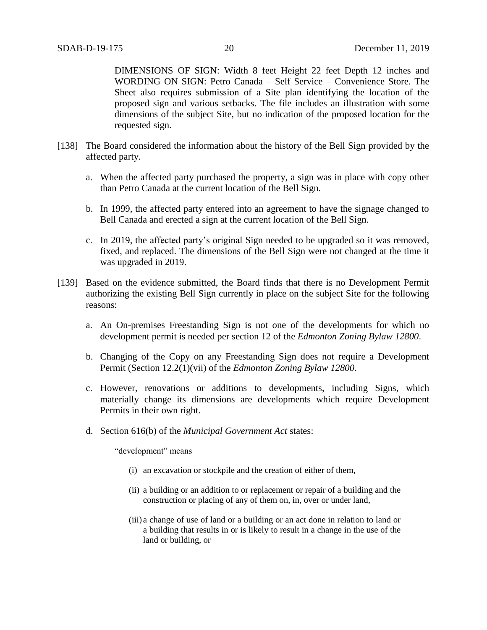DIMENSIONS OF SIGN: Width 8 feet Height 22 feet Depth 12 inches and WORDING ON SIGN: Petro Canada – Self Service – Convenience Store. The Sheet also requires submission of a Site plan identifying the location of the proposed sign and various setbacks. The file includes an illustration with some dimensions of the subject Site, but no indication of the proposed location for the requested sign.

- [138] The Board considered the information about the history of the Bell Sign provided by the affected party.
	- a. When the affected party purchased the property, a sign was in place with copy other than Petro Canada at the current location of the Bell Sign.
	- b. In 1999, the affected party entered into an agreement to have the signage changed to Bell Canada and erected a sign at the current location of the Bell Sign.
	- c. In 2019, the affected party's original Sign needed to be upgraded so it was removed, fixed, and replaced. The dimensions of the Bell Sign were not changed at the time it was upgraded in 2019.
- [139] Based on the evidence submitted, the Board finds that there is no Development Permit authorizing the existing Bell Sign currently in place on the subject Site for the following reasons:
	- a. An On-premises Freestanding Sign is not one of the developments for which no development permit is needed per section 12 of the *Edmonton Zoning Bylaw 12800*.
	- b. Changing of the Copy on any Freestanding Sign does not require a Development Permit (Section 12.2(1)(vii) of the *Edmonton Zoning Bylaw 12800*.
	- c. However, renovations or additions to developments, including Signs, which materially change its dimensions are developments which require Development Permits in their own right.
	- d. Section 616(b) of the *Municipal Government Act* states:

"development" means

- (i) an excavation or stockpile and the creation of either of them,
- (ii) a building or an addition to or replacement or repair of a building and the construction or placing of any of them on, in, over or under land,
- (iii) a change of use of land or a building or an act done in relation to land or a building that results in or is likely to result in a change in the use of the land or building, or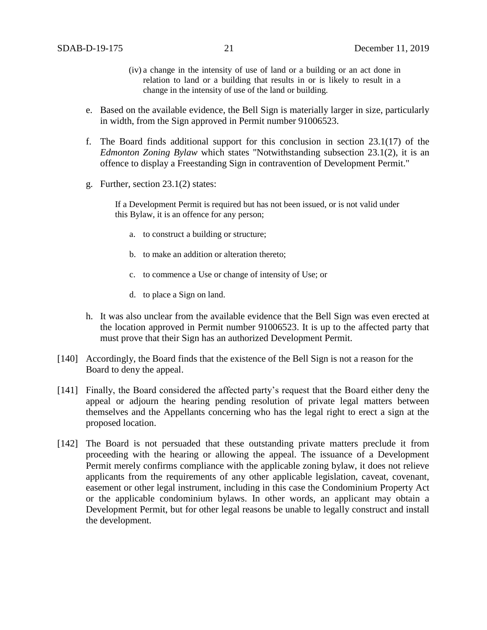- (iv) a change in the intensity of use of land or a building or an act done in relation to land or a building that results in or is likely to result in a change in the intensity of use of the land or building.
- e. Based on the available evidence, the Bell Sign is materially larger in size, particularly in width, from the Sign approved in Permit number 91006523.
- f. The Board finds additional support for this conclusion in section 23.1(17) of the *Edmonton Zoning Bylaw* which states "Notwithstanding subsection 23.1(2), it is an offence to display a Freestanding Sign in contravention of Development Permit."
- g. Further, section 23.1(2) states:

If a Development Permit is required but has not been issued, or is not valid under this Bylaw, it is an offence for any person;

- a. to construct a building or structure;
- b. to make an addition or alteration thereto;
- c. to commence a Use or change of intensity of Use; or
- d. to place a Sign on land.
- h. It was also unclear from the available evidence that the Bell Sign was even erected at the location approved in Permit number 91006523. It is up to the affected party that must prove that their Sign has an authorized Development Permit.
- [140] Accordingly, the Board finds that the existence of the Bell Sign is not a reason for the Board to deny the appeal.
- [141] Finally, the Board considered the affected party's request that the Board either deny the appeal or adjourn the hearing pending resolution of private legal matters between themselves and the Appellants concerning who has the legal right to erect a sign at the proposed location.
- [142] The Board is not persuaded that these outstanding private matters preclude it from proceeding with the hearing or allowing the appeal. The issuance of a Development Permit merely confirms compliance with the applicable zoning bylaw, it does not relieve applicants from the requirements of any other applicable legislation, caveat, covenant, easement or other legal instrument, including in this case the Condominium Property Act or the applicable condominium bylaws. In other words, an applicant may obtain a Development Permit, but for other legal reasons be unable to legally construct and install the development.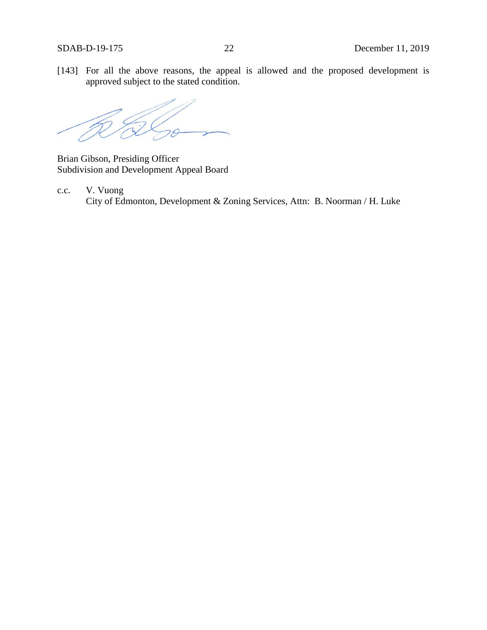[143] For all the above reasons, the appeal is allowed and the proposed development is approved subject to the stated condition.

Brian Gibson, Presiding Officer Subdivision and Development Appeal Board

c.c. V. Vuong City of Edmonton, Development & Zoning Services, Attn: B. Noorman / H. Luke